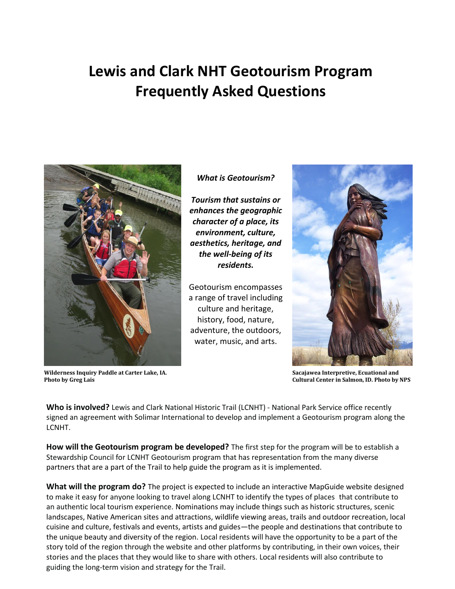# **Lewis and Clark NHT Geotourism Program Frequently Asked Questions**



**Wilderness Inquiry Paddle at Carter Lake, IA. Photo by Greg Lais**

## *What is Geotourism?*

*Tourism that sustains or enhances the geographic character of a place, its environment, culture, aesthetics, heritage, and the well-being of its residents.* 

Geotourism encompasses a range of travel including culture and heritage, history, food, nature, adventure, the outdoors, water, music, and arts.



**Sacajawea Interpretive, Ecuational and Cultural Center in Salmon, ID. Photo by NPS**

**Who is involved?** Lewis and Clark National Historic Trail (LCNHT) - National Park Service office recently signed an agreement with Solimar International to develop and implement a Geotourism program along the LCNHT.

**How will the Geotourism program be developed?** The first step for the program will be to establish a Stewardship Council for LCNHT Geotourism program that has representation from the many diverse partners that are a part of the Trail to help guide the program as it is implemented.

**What will the program do?** The project is expected to include an interactive MapGuide website designed to make it easy for anyone looking to travel along LCNHT to identify the types of places that contribute to an authentic local tourism experience. Nominations may include things such as historic structures, scenic landscapes, Native American sites and attractions, wildlife viewing areas, trails and outdoor recreation, local cuisine and culture, festivals and events, artists and guides—the people and destinations that contribute to the unique beauty and diversity of the region. Local residents will have the opportunity to be a part of the story told of the region through the website and other platforms by contributing, in their own voices, their stories and the places that they would like to share with others. Local residents will also contribute to guiding the long-term vision and strategy for the Trail.